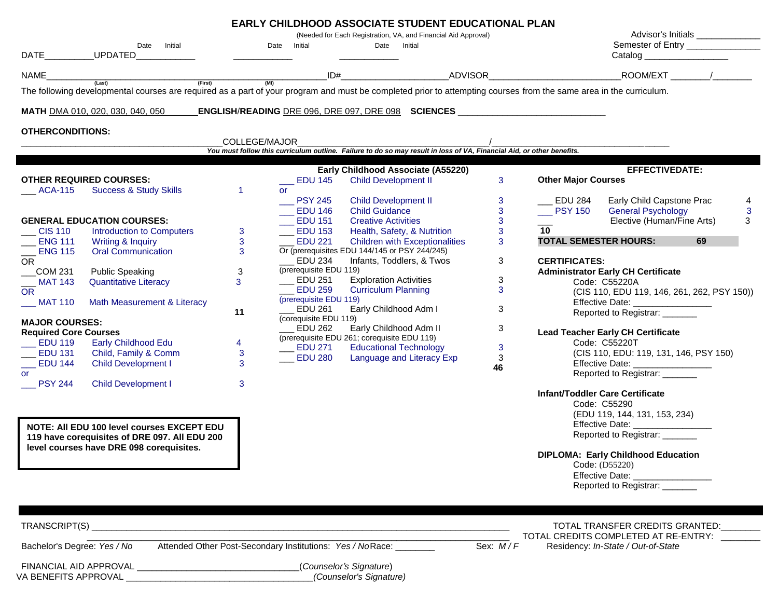| (Needed for Each Registration, VA, and Financial Aid Approval)<br>Semester of Entry ________________<br>Date Initial<br>Date Initial<br>Date Initial<br>UPDATED<br>DATE<br>Catalog _____________________<br>ID# ADVISOR ROOM/EXT /<br>$(Last)$ (First)<br>$\frac{1}{(M1)}$<br>The following developmental courses are required as a part of your program and must be completed prior to attempting courses from the same area in the curriculum.<br>_ENGLISH/READING <u>DRE 096, DRE 097, DRE 098</u> SCIENCES __________________________<br><b>MATH</b> DMA 010, 020, 030, 040, 050<br><b>OTHERCONDITIONS:</b><br>COLLEGE/MAJOR<br>You must follow this curriculum outline. Failure to do so may result in loss of VA, Financial Aid, or other benefits.<br>Early Childhood Associate (A55220)<br><b>EFFECTIVEDATE:</b><br>3 <sup>1</sup><br><b>OTHER REQUIRED COURSES:</b><br>$\equiv$ EDU 145<br><b>Child Development II</b><br><b>Other Major Courses</b><br>$ACA-115$<br><b>Success &amp; Study Skills</b><br>$\blacktriangleleft$<br><b>or</b><br>3<br>Early Child Capstone Prac<br>$\equiv$ PSY 245<br><b>Child Development II</b><br>__ EDU 284<br>4<br>$\mathbf{3}$<br><b>Child Guidance</b><br>$\rule{1em}{0.15mm}$ PSY 150<br><b>General Psychology</b><br>3<br>$\rule{1em}{0.15mm}$ EDU 146<br>$\mathbf{3}$<br>Elective (Human/Fine Arts)<br><b>GENERAL EDUCATION COURSES:</b><br>$\overline{\phantom{0}}$ EDU 151<br>3<br><b>Creative Activities</b><br>$\mathbf{3}$<br>$\equiv$ EDU 153<br>$\overline{\phantom{0}}$ CIS 110<br>Health, Safety, & Nutrition<br>10 <sup>°</sup><br>Introduction to Computers<br>3<br>$\mathbf{3}$<br>$\_$ ENG 111<br>Writing & Inquiry<br><b>EDU 221</b><br><b>Children with Exceptionalities</b><br>3<br><b>TOTAL SEMESTER HOURS:</b><br>69<br>$\overline{3}$<br>Or (prerequisites EDU 144/145 or PSY 244/245)<br><b>ENG 115</b><br><b>Oral Communication</b><br>$\equiv$ EDU 234<br>Infants, Toddlers, & Twos<br>3<br><b>CERTIFICATES:</b><br>(prerequisite EDU 119)<br><b>Public Speaking</b><br>3<br><b>Administrator Early CH Certificate</b><br>COM 231<br>$\rule{1em}{0.15mm}$ EDU 251<br><b>Exploration Activities</b><br>3<br>3<br>$\_$ MAT 143<br><b>Quantitative Literacy</b><br>Code: C55220A<br>$EDU$ 259<br><b>Curriculum Planning</b><br>3<br><b>OR</b><br>(CIS 110, EDU 119, 146, 261, 262, PSY 150))<br>(prerequisite EDU 119)<br>$\_$ MAT 110<br>Effective Date: __________________<br>Math Measurement & Literacy<br>Early Childhood Adm I<br>3<br><b>EDU 261</b><br>11<br>Reported to Registrar: ______<br>(corequisite EDU 119)<br><b>MAJOR COURSES:</b><br><b>EDU 262</b><br>Early Childhood Adm II<br>3<br><b>Required Core Courses</b><br><b>Lead Teacher Early CH Certificate</b><br>(prerequisite EDU 261; corequisite EDU 119)<br><b>Early Childhood Edu</b><br>Code: C55220T<br>4<br><b>Educational Technology</b><br>3<br>$\rule{1em}{0.15mm}$ EDU 271<br>Child, Family & Comm<br>$\_$ EDU 131<br>3<br>(CIS 110, EDU: 119, 131, 146, PSY 150)<br>$\rule{1em}{0.15mm}$ EDU 280<br>Language and Literacy Exp<br>3<br>3<br><b>EDU 144</b><br><b>Child Development I</b><br>Effective Date: __________________<br>46<br>Reported to Registrar: ______<br><b>PSY 244</b><br><b>Child Development I</b><br>3<br><b>Infant/Toddler Care Certificate</b><br>Code: C55290<br>(EDU 119, 144, 131, 153, 234)<br>Effective Date: ______________<br>NOTE: All EDU 100 level courses EXCEPT EDU<br>Reported to Registrar: ______<br>119 have corequisites of DRE 097. All EDU 200<br>level courses have DRE 098 corequisites.<br><b>DIPLOMA: Early Childhood Education</b><br>Code: (D55220)<br>Effective Date: ________________<br>Reported to Registrar: ______<br>TRANSCRIPT(S)<br>TOTAL TRANSFER CREDITS GRANTED:<br>TOTAL CREDITS COMPLETED AT RE-ENTRY: _______ |                                  |  |  | <b>EARLY CHILDHOOD ASSOCIATE STUDENT EDUCATIONAL PLAN</b> | Advisor's Initials _____________ |
|----------------------------------------------------------------------------------------------------------------------------------------------------------------------------------------------------------------------------------------------------------------------------------------------------------------------------------------------------------------------------------------------------------------------------------------------------------------------------------------------------------------------------------------------------------------------------------------------------------------------------------------------------------------------------------------------------------------------------------------------------------------------------------------------------------------------------------------------------------------------------------------------------------------------------------------------------------------------------------------------------------------------------------------------------------------------------------------------------------------------------------------------------------------------------------------------------------------------------------------------------------------------------------------------------------------------------------------------------------------------------------------------------------------------------------------------------------------------------------------------------------------------------------------------------------------------------------------------------------------------------------------------------------------------------------------------------------------------------------------------------------------------------------------------------------------------------------------------------------------------------------------------------------------------------------------------------------------------------------------------------------------------------------------------------------------------------------------------------------------------------------------------------------------------------------------------------------------------------------------------------------------------------------------------------------------------------------------------------------------------------------------------------------------------------------------------------------------------------------------------------------------------------------------------------------------------------------------------------------------------------------------------------------------------------------------------------------------------------------------------------------------------------------------------------------------------------------------------------------------------------------------------------------------------------------------------------------------------------------------------------------------------------------------------------------------------------------------------------------------------------------------------------------------------------------------------------------------------------------------------------------------------------------------------------------------------------------------------------------------------------------------------------------------------------------------------------------------------------------------------------------------------------------------------------------------------------------------------------------------------------------------------------------------------------------------------------------------------------------------------------------------------------------------------------------------------------------|----------------------------------|--|--|-----------------------------------------------------------|----------------------------------|
|                                                                                                                                                                                                                                                                                                                                                                                                                                                                                                                                                                                                                                                                                                                                                                                                                                                                                                                                                                                                                                                                                                                                                                                                                                                                                                                                                                                                                                                                                                                                                                                                                                                                                                                                                                                                                                                                                                                                                                                                                                                                                                                                                                                                                                                                                                                                                                                                                                                                                                                                                                                                                                                                                                                                                                                                                                                                                                                                                                                                                                                                                                                                                                                                                                                                                                                                                                                                                                                                                                                                                                                                                                                                                                                                                                                                                                  |                                  |  |  |                                                           |                                  |
|                                                                                                                                                                                                                                                                                                                                                                                                                                                                                                                                                                                                                                                                                                                                                                                                                                                                                                                                                                                                                                                                                                                                                                                                                                                                                                                                                                                                                                                                                                                                                                                                                                                                                                                                                                                                                                                                                                                                                                                                                                                                                                                                                                                                                                                                                                                                                                                                                                                                                                                                                                                                                                                                                                                                                                                                                                                                                                                                                                                                                                                                                                                                                                                                                                                                                                                                                                                                                                                                                                                                                                                                                                                                                                                                                                                                                                  | NAME____                         |  |  |                                                           |                                  |
|                                                                                                                                                                                                                                                                                                                                                                                                                                                                                                                                                                                                                                                                                                                                                                                                                                                                                                                                                                                                                                                                                                                                                                                                                                                                                                                                                                                                                                                                                                                                                                                                                                                                                                                                                                                                                                                                                                                                                                                                                                                                                                                                                                                                                                                                                                                                                                                                                                                                                                                                                                                                                                                                                                                                                                                                                                                                                                                                                                                                                                                                                                                                                                                                                                                                                                                                                                                                                                                                                                                                                                                                                                                                                                                                                                                                                                  |                                  |  |  |                                                           |                                  |
|                                                                                                                                                                                                                                                                                                                                                                                                                                                                                                                                                                                                                                                                                                                                                                                                                                                                                                                                                                                                                                                                                                                                                                                                                                                                                                                                                                                                                                                                                                                                                                                                                                                                                                                                                                                                                                                                                                                                                                                                                                                                                                                                                                                                                                                                                                                                                                                                                                                                                                                                                                                                                                                                                                                                                                                                                                                                                                                                                                                                                                                                                                                                                                                                                                                                                                                                                                                                                                                                                                                                                                                                                                                                                                                                                                                                                                  |                                  |  |  |                                                           |                                  |
|                                                                                                                                                                                                                                                                                                                                                                                                                                                                                                                                                                                                                                                                                                                                                                                                                                                                                                                                                                                                                                                                                                                                                                                                                                                                                                                                                                                                                                                                                                                                                                                                                                                                                                                                                                                                                                                                                                                                                                                                                                                                                                                                                                                                                                                                                                                                                                                                                                                                                                                                                                                                                                                                                                                                                                                                                                                                                                                                                                                                                                                                                                                                                                                                                                                                                                                                                                                                                                                                                                                                                                                                                                                                                                                                                                                                                                  |                                  |  |  |                                                           |                                  |
|                                                                                                                                                                                                                                                                                                                                                                                                                                                                                                                                                                                                                                                                                                                                                                                                                                                                                                                                                                                                                                                                                                                                                                                                                                                                                                                                                                                                                                                                                                                                                                                                                                                                                                                                                                                                                                                                                                                                                                                                                                                                                                                                                                                                                                                                                                                                                                                                                                                                                                                                                                                                                                                                                                                                                                                                                                                                                                                                                                                                                                                                                                                                                                                                                                                                                                                                                                                                                                                                                                                                                                                                                                                                                                                                                                                                                                  |                                  |  |  |                                                           |                                  |
|                                                                                                                                                                                                                                                                                                                                                                                                                                                                                                                                                                                                                                                                                                                                                                                                                                                                                                                                                                                                                                                                                                                                                                                                                                                                                                                                                                                                                                                                                                                                                                                                                                                                                                                                                                                                                                                                                                                                                                                                                                                                                                                                                                                                                                                                                                                                                                                                                                                                                                                                                                                                                                                                                                                                                                                                                                                                                                                                                                                                                                                                                                                                                                                                                                                                                                                                                                                                                                                                                                                                                                                                                                                                                                                                                                                                                                  |                                  |  |  |                                                           |                                  |
|                                                                                                                                                                                                                                                                                                                                                                                                                                                                                                                                                                                                                                                                                                                                                                                                                                                                                                                                                                                                                                                                                                                                                                                                                                                                                                                                                                                                                                                                                                                                                                                                                                                                                                                                                                                                                                                                                                                                                                                                                                                                                                                                                                                                                                                                                                                                                                                                                                                                                                                                                                                                                                                                                                                                                                                                                                                                                                                                                                                                                                                                                                                                                                                                                                                                                                                                                                                                                                                                                                                                                                                                                                                                                                                                                                                                                                  |                                  |  |  |                                                           |                                  |
|                                                                                                                                                                                                                                                                                                                                                                                                                                                                                                                                                                                                                                                                                                                                                                                                                                                                                                                                                                                                                                                                                                                                                                                                                                                                                                                                                                                                                                                                                                                                                                                                                                                                                                                                                                                                                                                                                                                                                                                                                                                                                                                                                                                                                                                                                                                                                                                                                                                                                                                                                                                                                                                                                                                                                                                                                                                                                                                                                                                                                                                                                                                                                                                                                                                                                                                                                                                                                                                                                                                                                                                                                                                                                                                                                                                                                                  |                                  |  |  |                                                           |                                  |
|                                                                                                                                                                                                                                                                                                                                                                                                                                                                                                                                                                                                                                                                                                                                                                                                                                                                                                                                                                                                                                                                                                                                                                                                                                                                                                                                                                                                                                                                                                                                                                                                                                                                                                                                                                                                                                                                                                                                                                                                                                                                                                                                                                                                                                                                                                                                                                                                                                                                                                                                                                                                                                                                                                                                                                                                                                                                                                                                                                                                                                                                                                                                                                                                                                                                                                                                                                                                                                                                                                                                                                                                                                                                                                                                                                                                                                  |                                  |  |  |                                                           |                                  |
|                                                                                                                                                                                                                                                                                                                                                                                                                                                                                                                                                                                                                                                                                                                                                                                                                                                                                                                                                                                                                                                                                                                                                                                                                                                                                                                                                                                                                                                                                                                                                                                                                                                                                                                                                                                                                                                                                                                                                                                                                                                                                                                                                                                                                                                                                                                                                                                                                                                                                                                                                                                                                                                                                                                                                                                                                                                                                                                                                                                                                                                                                                                                                                                                                                                                                                                                                                                                                                                                                                                                                                                                                                                                                                                                                                                                                                  |                                  |  |  |                                                           |                                  |
|                                                                                                                                                                                                                                                                                                                                                                                                                                                                                                                                                                                                                                                                                                                                                                                                                                                                                                                                                                                                                                                                                                                                                                                                                                                                                                                                                                                                                                                                                                                                                                                                                                                                                                                                                                                                                                                                                                                                                                                                                                                                                                                                                                                                                                                                                                                                                                                                                                                                                                                                                                                                                                                                                                                                                                                                                                                                                                                                                                                                                                                                                                                                                                                                                                                                                                                                                                                                                                                                                                                                                                                                                                                                                                                                                                                                                                  |                                  |  |  |                                                           |                                  |
|                                                                                                                                                                                                                                                                                                                                                                                                                                                                                                                                                                                                                                                                                                                                                                                                                                                                                                                                                                                                                                                                                                                                                                                                                                                                                                                                                                                                                                                                                                                                                                                                                                                                                                                                                                                                                                                                                                                                                                                                                                                                                                                                                                                                                                                                                                                                                                                                                                                                                                                                                                                                                                                                                                                                                                                                                                                                                                                                                                                                                                                                                                                                                                                                                                                                                                                                                                                                                                                                                                                                                                                                                                                                                                                                                                                                                                  |                                  |  |  |                                                           |                                  |
|                                                                                                                                                                                                                                                                                                                                                                                                                                                                                                                                                                                                                                                                                                                                                                                                                                                                                                                                                                                                                                                                                                                                                                                                                                                                                                                                                                                                                                                                                                                                                                                                                                                                                                                                                                                                                                                                                                                                                                                                                                                                                                                                                                                                                                                                                                                                                                                                                                                                                                                                                                                                                                                                                                                                                                                                                                                                                                                                                                                                                                                                                                                                                                                                                                                                                                                                                                                                                                                                                                                                                                                                                                                                                                                                                                                                                                  |                                  |  |  |                                                           |                                  |
|                                                                                                                                                                                                                                                                                                                                                                                                                                                                                                                                                                                                                                                                                                                                                                                                                                                                                                                                                                                                                                                                                                                                                                                                                                                                                                                                                                                                                                                                                                                                                                                                                                                                                                                                                                                                                                                                                                                                                                                                                                                                                                                                                                                                                                                                                                                                                                                                                                                                                                                                                                                                                                                                                                                                                                                                                                                                                                                                                                                                                                                                                                                                                                                                                                                                                                                                                                                                                                                                                                                                                                                                                                                                                                                                                                                                                                  |                                  |  |  |                                                           |                                  |
|                                                                                                                                                                                                                                                                                                                                                                                                                                                                                                                                                                                                                                                                                                                                                                                                                                                                                                                                                                                                                                                                                                                                                                                                                                                                                                                                                                                                                                                                                                                                                                                                                                                                                                                                                                                                                                                                                                                                                                                                                                                                                                                                                                                                                                                                                                                                                                                                                                                                                                                                                                                                                                                                                                                                                                                                                                                                                                                                                                                                                                                                                                                                                                                                                                                                                                                                                                                                                                                                                                                                                                                                                                                                                                                                                                                                                                  | <b>OR</b>                        |  |  |                                                           |                                  |
|                                                                                                                                                                                                                                                                                                                                                                                                                                                                                                                                                                                                                                                                                                                                                                                                                                                                                                                                                                                                                                                                                                                                                                                                                                                                                                                                                                                                                                                                                                                                                                                                                                                                                                                                                                                                                                                                                                                                                                                                                                                                                                                                                                                                                                                                                                                                                                                                                                                                                                                                                                                                                                                                                                                                                                                                                                                                                                                                                                                                                                                                                                                                                                                                                                                                                                                                                                                                                                                                                                                                                                                                                                                                                                                                                                                                                                  |                                  |  |  |                                                           |                                  |
|                                                                                                                                                                                                                                                                                                                                                                                                                                                                                                                                                                                                                                                                                                                                                                                                                                                                                                                                                                                                                                                                                                                                                                                                                                                                                                                                                                                                                                                                                                                                                                                                                                                                                                                                                                                                                                                                                                                                                                                                                                                                                                                                                                                                                                                                                                                                                                                                                                                                                                                                                                                                                                                                                                                                                                                                                                                                                                                                                                                                                                                                                                                                                                                                                                                                                                                                                                                                                                                                                                                                                                                                                                                                                                                                                                                                                                  |                                  |  |  |                                                           |                                  |
|                                                                                                                                                                                                                                                                                                                                                                                                                                                                                                                                                                                                                                                                                                                                                                                                                                                                                                                                                                                                                                                                                                                                                                                                                                                                                                                                                                                                                                                                                                                                                                                                                                                                                                                                                                                                                                                                                                                                                                                                                                                                                                                                                                                                                                                                                                                                                                                                                                                                                                                                                                                                                                                                                                                                                                                                                                                                                                                                                                                                                                                                                                                                                                                                                                                                                                                                                                                                                                                                                                                                                                                                                                                                                                                                                                                                                                  |                                  |  |  |                                                           |                                  |
|                                                                                                                                                                                                                                                                                                                                                                                                                                                                                                                                                                                                                                                                                                                                                                                                                                                                                                                                                                                                                                                                                                                                                                                                                                                                                                                                                                                                                                                                                                                                                                                                                                                                                                                                                                                                                                                                                                                                                                                                                                                                                                                                                                                                                                                                                                                                                                                                                                                                                                                                                                                                                                                                                                                                                                                                                                                                                                                                                                                                                                                                                                                                                                                                                                                                                                                                                                                                                                                                                                                                                                                                                                                                                                                                                                                                                                  |                                  |  |  |                                                           |                                  |
|                                                                                                                                                                                                                                                                                                                                                                                                                                                                                                                                                                                                                                                                                                                                                                                                                                                                                                                                                                                                                                                                                                                                                                                                                                                                                                                                                                                                                                                                                                                                                                                                                                                                                                                                                                                                                                                                                                                                                                                                                                                                                                                                                                                                                                                                                                                                                                                                                                                                                                                                                                                                                                                                                                                                                                                                                                                                                                                                                                                                                                                                                                                                                                                                                                                                                                                                                                                                                                                                                                                                                                                                                                                                                                                                                                                                                                  |                                  |  |  |                                                           |                                  |
|                                                                                                                                                                                                                                                                                                                                                                                                                                                                                                                                                                                                                                                                                                                                                                                                                                                                                                                                                                                                                                                                                                                                                                                                                                                                                                                                                                                                                                                                                                                                                                                                                                                                                                                                                                                                                                                                                                                                                                                                                                                                                                                                                                                                                                                                                                                                                                                                                                                                                                                                                                                                                                                                                                                                                                                                                                                                                                                                                                                                                                                                                                                                                                                                                                                                                                                                                                                                                                                                                                                                                                                                                                                                                                                                                                                                                                  |                                  |  |  |                                                           |                                  |
|                                                                                                                                                                                                                                                                                                                                                                                                                                                                                                                                                                                                                                                                                                                                                                                                                                                                                                                                                                                                                                                                                                                                                                                                                                                                                                                                                                                                                                                                                                                                                                                                                                                                                                                                                                                                                                                                                                                                                                                                                                                                                                                                                                                                                                                                                                                                                                                                                                                                                                                                                                                                                                                                                                                                                                                                                                                                                                                                                                                                                                                                                                                                                                                                                                                                                                                                                                                                                                                                                                                                                                                                                                                                                                                                                                                                                                  | $\overline{\phantom{0}}$ EDU 119 |  |  |                                                           |                                  |
|                                                                                                                                                                                                                                                                                                                                                                                                                                                                                                                                                                                                                                                                                                                                                                                                                                                                                                                                                                                                                                                                                                                                                                                                                                                                                                                                                                                                                                                                                                                                                                                                                                                                                                                                                                                                                                                                                                                                                                                                                                                                                                                                                                                                                                                                                                                                                                                                                                                                                                                                                                                                                                                                                                                                                                                                                                                                                                                                                                                                                                                                                                                                                                                                                                                                                                                                                                                                                                                                                                                                                                                                                                                                                                                                                                                                                                  |                                  |  |  |                                                           |                                  |
|                                                                                                                                                                                                                                                                                                                                                                                                                                                                                                                                                                                                                                                                                                                                                                                                                                                                                                                                                                                                                                                                                                                                                                                                                                                                                                                                                                                                                                                                                                                                                                                                                                                                                                                                                                                                                                                                                                                                                                                                                                                                                                                                                                                                                                                                                                                                                                                                                                                                                                                                                                                                                                                                                                                                                                                                                                                                                                                                                                                                                                                                                                                                                                                                                                                                                                                                                                                                                                                                                                                                                                                                                                                                                                                                                                                                                                  |                                  |  |  |                                                           |                                  |
|                                                                                                                                                                                                                                                                                                                                                                                                                                                                                                                                                                                                                                                                                                                                                                                                                                                                                                                                                                                                                                                                                                                                                                                                                                                                                                                                                                                                                                                                                                                                                                                                                                                                                                                                                                                                                                                                                                                                                                                                                                                                                                                                                                                                                                                                                                                                                                                                                                                                                                                                                                                                                                                                                                                                                                                                                                                                                                                                                                                                                                                                                                                                                                                                                                                                                                                                                                                                                                                                                                                                                                                                                                                                                                                                                                                                                                  | or                               |  |  |                                                           |                                  |
|                                                                                                                                                                                                                                                                                                                                                                                                                                                                                                                                                                                                                                                                                                                                                                                                                                                                                                                                                                                                                                                                                                                                                                                                                                                                                                                                                                                                                                                                                                                                                                                                                                                                                                                                                                                                                                                                                                                                                                                                                                                                                                                                                                                                                                                                                                                                                                                                                                                                                                                                                                                                                                                                                                                                                                                                                                                                                                                                                                                                                                                                                                                                                                                                                                                                                                                                                                                                                                                                                                                                                                                                                                                                                                                                                                                                                                  |                                  |  |  |                                                           |                                  |
|                                                                                                                                                                                                                                                                                                                                                                                                                                                                                                                                                                                                                                                                                                                                                                                                                                                                                                                                                                                                                                                                                                                                                                                                                                                                                                                                                                                                                                                                                                                                                                                                                                                                                                                                                                                                                                                                                                                                                                                                                                                                                                                                                                                                                                                                                                                                                                                                                                                                                                                                                                                                                                                                                                                                                                                                                                                                                                                                                                                                                                                                                                                                                                                                                                                                                                                                                                                                                                                                                                                                                                                                                                                                                                                                                                                                                                  |                                  |  |  |                                                           |                                  |
|                                                                                                                                                                                                                                                                                                                                                                                                                                                                                                                                                                                                                                                                                                                                                                                                                                                                                                                                                                                                                                                                                                                                                                                                                                                                                                                                                                                                                                                                                                                                                                                                                                                                                                                                                                                                                                                                                                                                                                                                                                                                                                                                                                                                                                                                                                                                                                                                                                                                                                                                                                                                                                                                                                                                                                                                                                                                                                                                                                                                                                                                                                                                                                                                                                                                                                                                                                                                                                                                                                                                                                                                                                                                                                                                                                                                                                  |                                  |  |  |                                                           |                                  |
|                                                                                                                                                                                                                                                                                                                                                                                                                                                                                                                                                                                                                                                                                                                                                                                                                                                                                                                                                                                                                                                                                                                                                                                                                                                                                                                                                                                                                                                                                                                                                                                                                                                                                                                                                                                                                                                                                                                                                                                                                                                                                                                                                                                                                                                                                                                                                                                                                                                                                                                                                                                                                                                                                                                                                                                                                                                                                                                                                                                                                                                                                                                                                                                                                                                                                                                                                                                                                                                                                                                                                                                                                                                                                                                                                                                                                                  |                                  |  |  |                                                           |                                  |
|                                                                                                                                                                                                                                                                                                                                                                                                                                                                                                                                                                                                                                                                                                                                                                                                                                                                                                                                                                                                                                                                                                                                                                                                                                                                                                                                                                                                                                                                                                                                                                                                                                                                                                                                                                                                                                                                                                                                                                                                                                                                                                                                                                                                                                                                                                                                                                                                                                                                                                                                                                                                                                                                                                                                                                                                                                                                                                                                                                                                                                                                                                                                                                                                                                                                                                                                                                                                                                                                                                                                                                                                                                                                                                                                                                                                                                  |                                  |  |  |                                                           |                                  |
|                                                                                                                                                                                                                                                                                                                                                                                                                                                                                                                                                                                                                                                                                                                                                                                                                                                                                                                                                                                                                                                                                                                                                                                                                                                                                                                                                                                                                                                                                                                                                                                                                                                                                                                                                                                                                                                                                                                                                                                                                                                                                                                                                                                                                                                                                                                                                                                                                                                                                                                                                                                                                                                                                                                                                                                                                                                                                                                                                                                                                                                                                                                                                                                                                                                                                                                                                                                                                                                                                                                                                                                                                                                                                                                                                                                                                                  |                                  |  |  |                                                           |                                  |
|                                                                                                                                                                                                                                                                                                                                                                                                                                                                                                                                                                                                                                                                                                                                                                                                                                                                                                                                                                                                                                                                                                                                                                                                                                                                                                                                                                                                                                                                                                                                                                                                                                                                                                                                                                                                                                                                                                                                                                                                                                                                                                                                                                                                                                                                                                                                                                                                                                                                                                                                                                                                                                                                                                                                                                                                                                                                                                                                                                                                                                                                                                                                                                                                                                                                                                                                                                                                                                                                                                                                                                                                                                                                                                                                                                                                                                  |                                  |  |  |                                                           |                                  |
|                                                                                                                                                                                                                                                                                                                                                                                                                                                                                                                                                                                                                                                                                                                                                                                                                                                                                                                                                                                                                                                                                                                                                                                                                                                                                                                                                                                                                                                                                                                                                                                                                                                                                                                                                                                                                                                                                                                                                                                                                                                                                                                                                                                                                                                                                                                                                                                                                                                                                                                                                                                                                                                                                                                                                                                                                                                                                                                                                                                                                                                                                                                                                                                                                                                                                                                                                                                                                                                                                                                                                                                                                                                                                                                                                                                                                                  |                                  |  |  |                                                           |                                  |
|                                                                                                                                                                                                                                                                                                                                                                                                                                                                                                                                                                                                                                                                                                                                                                                                                                                                                                                                                                                                                                                                                                                                                                                                                                                                                                                                                                                                                                                                                                                                                                                                                                                                                                                                                                                                                                                                                                                                                                                                                                                                                                                                                                                                                                                                                                                                                                                                                                                                                                                                                                                                                                                                                                                                                                                                                                                                                                                                                                                                                                                                                                                                                                                                                                                                                                                                                                                                                                                                                                                                                                                                                                                                                                                                                                                                                                  |                                  |  |  |                                                           |                                  |
|                                                                                                                                                                                                                                                                                                                                                                                                                                                                                                                                                                                                                                                                                                                                                                                                                                                                                                                                                                                                                                                                                                                                                                                                                                                                                                                                                                                                                                                                                                                                                                                                                                                                                                                                                                                                                                                                                                                                                                                                                                                                                                                                                                                                                                                                                                                                                                                                                                                                                                                                                                                                                                                                                                                                                                                                                                                                                                                                                                                                                                                                                                                                                                                                                                                                                                                                                                                                                                                                                                                                                                                                                                                                                                                                                                                                                                  |                                  |  |  |                                                           |                                  |
|                                                                                                                                                                                                                                                                                                                                                                                                                                                                                                                                                                                                                                                                                                                                                                                                                                                                                                                                                                                                                                                                                                                                                                                                                                                                                                                                                                                                                                                                                                                                                                                                                                                                                                                                                                                                                                                                                                                                                                                                                                                                                                                                                                                                                                                                                                                                                                                                                                                                                                                                                                                                                                                                                                                                                                                                                                                                                                                                                                                                                                                                                                                                                                                                                                                                                                                                                                                                                                                                                                                                                                                                                                                                                                                                                                                                                                  |                                  |  |  |                                                           |                                  |
|                                                                                                                                                                                                                                                                                                                                                                                                                                                                                                                                                                                                                                                                                                                                                                                                                                                                                                                                                                                                                                                                                                                                                                                                                                                                                                                                                                                                                                                                                                                                                                                                                                                                                                                                                                                                                                                                                                                                                                                                                                                                                                                                                                                                                                                                                                                                                                                                                                                                                                                                                                                                                                                                                                                                                                                                                                                                                                                                                                                                                                                                                                                                                                                                                                                                                                                                                                                                                                                                                                                                                                                                                                                                                                                                                                                                                                  |                                  |  |  |                                                           |                                  |
|                                                                                                                                                                                                                                                                                                                                                                                                                                                                                                                                                                                                                                                                                                                                                                                                                                                                                                                                                                                                                                                                                                                                                                                                                                                                                                                                                                                                                                                                                                                                                                                                                                                                                                                                                                                                                                                                                                                                                                                                                                                                                                                                                                                                                                                                                                                                                                                                                                                                                                                                                                                                                                                                                                                                                                                                                                                                                                                                                                                                                                                                                                                                                                                                                                                                                                                                                                                                                                                                                                                                                                                                                                                                                                                                                                                                                                  |                                  |  |  |                                                           |                                  |
| Attended Other Post-Secondary Institutions: Yes / NoRace:<br>Bachelor's Degree: Yes / No<br>Sex: M/F<br>Residency: In-State / Out-of-State                                                                                                                                                                                                                                                                                                                                                                                                                                                                                                                                                                                                                                                                                                                                                                                                                                                                                                                                                                                                                                                                                                                                                                                                                                                                                                                                                                                                                                                                                                                                                                                                                                                                                                                                                                                                                                                                                                                                                                                                                                                                                                                                                                                                                                                                                                                                                                                                                                                                                                                                                                                                                                                                                                                                                                                                                                                                                                                                                                                                                                                                                                                                                                                                                                                                                                                                                                                                                                                                                                                                                                                                                                                                                       |                                  |  |  |                                                           |                                  |

| FINANCIAL AID APPROVAL | (Counselor's Signature) |
|------------------------|-------------------------|
| VA BENEFITS APPROVAL   | (Counselor's Signature) |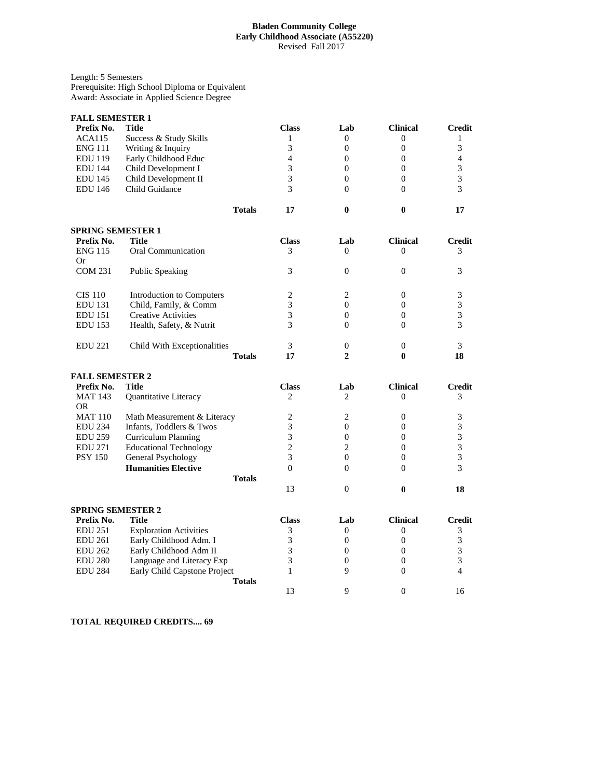## **Bladen Community College Early Childhood Associate (A55220)** Revised Fall 2017

Length: 5 Semesters Prerequisite: High School Diploma or Equivalent Award: Associate in Applied Science Degree

| <b>FALL SEMESTER 1</b>      |                               |                |                  |                  |                |
|-----------------------------|-------------------------------|----------------|------------------|------------------|----------------|
| Prefix No.                  | Title                         | <b>Class</b>   | Lab              | <b>Clinical</b>  | <b>Credit</b>  |
| ACA115                      | Success & Study Skills        | $\mathbf{1}$   | $\boldsymbol{0}$ | $\overline{0}$   | 1              |
| <b>ENG 111</b>              | Writing & Inquiry             | 3              | $\overline{0}$   | $\overline{0}$   | 3              |
| <b>EDU 119</b>              | Early Childhood Educ          | $\overline{4}$ | $\boldsymbol{0}$ | $\theta$         | $\overline{4}$ |
| <b>EDU 144</b>              | Child Development I           | 3              | $\mathbf{0}$     | $\overline{0}$   | 3              |
| <b>EDU 145</b>              | Child Development II          | $\overline{3}$ | $\overline{0}$   | $\theta$         | 3              |
| <b>EDU 146</b>              | Child Guidance                | 3              | $\theta$         | $\Omega$         | 3              |
|                             | <b>Totals</b>                 | 17             | $\bf{0}$         | $\bf{0}$         | 17             |
| <b>SPRING SEMESTER 1</b>    |                               |                |                  |                  |                |
| Prefix No.                  | <b>Title</b>                  | <b>Class</b>   | Lab              | <b>Clinical</b>  | Credit         |
| <b>ENG 115</b><br><b>Or</b> | Oral Communication            | 3              | $\Omega$         | $\Omega$         | 3              |
| <b>COM 231</b>              | <b>Public Speaking</b>        | 3              | $\overline{0}$   | $\theta$         | 3              |
| <b>CIS 110</b>              | Introduction to Computers     | 2              | 2                | $\Omega$         | 3              |
| <b>EDU 131</b>              | Child, Family, & Comm         | 3              | $\overline{0}$   | $\overline{0}$   | 3              |
| <b>EDU</b> 151              | <b>Creative Activities</b>    | 3              | $\overline{0}$   | $\overline{0}$   | 3              |
| <b>EDU</b> 153              | Health, Safety, & Nutrit      | 3              | $\theta$         | $\Omega$         | 3              |
| <b>EDU 221</b>              | Child With Exceptionalities   | 3              | 0                | $\theta$         | 3              |
|                             | <b>Totals</b>                 | 17             | $\overline{2}$   | $\bf{0}$         | 18             |
| <b>FALL SEMESTER 2</b>      |                               |                |                  |                  |                |
| Prefix No.                  | Title                         | <b>Class</b>   | Lab              | <b>Clinical</b>  | Credit         |
| <b>MAT 143</b>              | Quantitative Literacy         | $\overline{c}$ | $\overline{c}$   | $\theta$         | 3              |
| <b>OR</b>                   |                               |                |                  |                  |                |
| <b>MAT 110</b>              | Math Measurement & Literacy   | 2              | 2                | $\theta$         | 3              |
| <b>EDU 234</b>              | Infants, Toddlers & Twos      | 3              | $\overline{0}$   | $\theta$         | 3              |
| <b>EDU 259</b>              | Curriculum Planning           | 3              | $\overline{0}$   | $\theta$         | 3              |
| <b>EDU 271</b>              | <b>Educational Technology</b> | $\overline{c}$ | $\overline{c}$   | $\Omega$         | 3              |
| <b>PSY 150</b>              | General Psychology            | 3              | $\mathbf{0}$     | $\theta$         | 3              |
|                             | <b>Humanities Elective</b>    | $\Omega$       | $\Omega$         | $\Omega$         | 3              |
|                             | <b>Totals</b>                 |                |                  |                  |                |
|                             |                               | 13             | $\mathbf{0}$     | $\bf{0}$         | 18             |
| <b>SPRING SEMESTER 2</b>    |                               |                |                  |                  |                |
| Prefix No.                  | Title                         | <b>Class</b>   | Lab              | <b>Clinical</b>  | <b>Credit</b>  |
| <b>EDU 251</b>              | <b>Exploration Activities</b> | 3              | $\overline{0}$   | $\overline{0}$   | 3              |
| <b>EDU 261</b>              | Early Childhood Adm. I        | 3              | $\boldsymbol{0}$ | $\boldsymbol{0}$ | 3              |
| <b>EDU 262</b>              | Early Childhood Adm II        | 3              | $\mathbf{0}$     | $\overline{0}$   | 3              |
| <b>EDU 280</b>              | Language and Literacy Exp     | 3              | $\overline{0}$   | $\overline{0}$   | 3              |
| <b>EDU 284</b>              | Early Child Capstone Project  | $\mathbf{1}$   | 9                | $\theta$         | 4              |
|                             | <b>Totals</b>                 |                |                  |                  |                |
|                             |                               | 13             | 9                | $\Omega$         | 16             |

**TOTAL REQUIRED CREDITS.... 69**